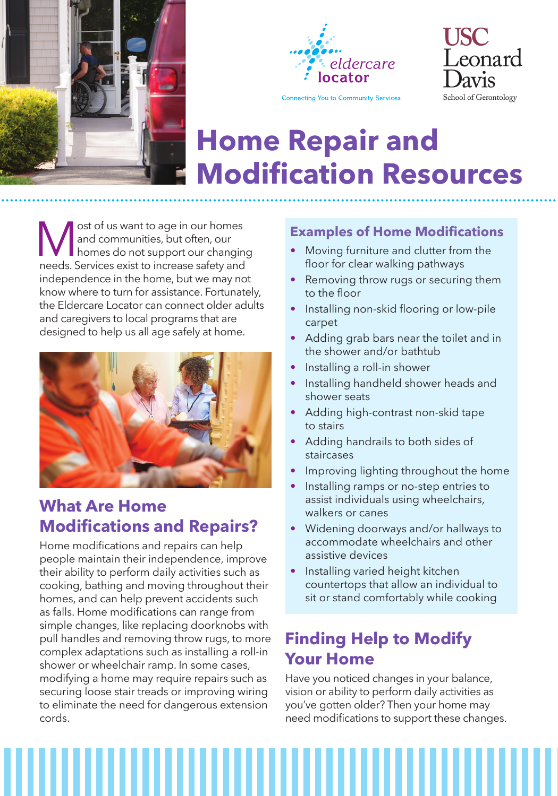





# **Home Repair and Modification Resources**

**M** ost of us want to age in our homes<br>and communities, but often, our<br>homes do not support our changin<br>needs. Services exist to increase safety and and communities, but often, our homes do not support our changing needs. Services exist to increase safety and independence in the home, but we may not know where to turn for assistance. Fortunately, the Eldercare Locator can connect older adults and caregivers to local programs that are designed to help us all age safely at home.



## **What Are Home Modifications and Repairs?**

Home modifications and repairs can help people maintain their independence, improve their ability to perform daily activities such as cooking, bathing and moving throughout their homes, and can help prevent accidents such as falls. Home modifications can range from simple changes, like replacing doorknobs with pull handles and removing throw rugs, to more complex adaptations such as installing a roll-in shower or wheelchair ramp. In some cases, modifying a home may require repairs such as securing loose stair treads or improving wiring to eliminate the need for dangerous extension cords.

### **Examples of Home Modifications**

- Moving furniture and clutter from the floor for clear walking pathways
- Removing throw rugs or securing them to the floor
- Installing non-skid flooring or low-pile carpet
- Adding grab bars near the toilet and in the shower and/or bathtub
- Installing a roll-in shower
- Installing handheld shower heads and shower seats
- Adding high-contrast non-skid tape to stairs
- Adding handrails to both sides of staircases
- Improving lighting throughout the home
- Installing ramps or no-step entries to assist individuals using wheelchairs, walkers or canes
- Widening doorways and/or hallways to accommodate wheelchairs and other assistive devices
- Installing varied height kitchen countertops that allow an individual to sit or stand comfortably while cooking

### **Finding Help to Modify Your Home**

Have you noticed changes in your balance, vision or ability to perform daily activities as you've gotten older? Then your home may need modifications to support these changes.